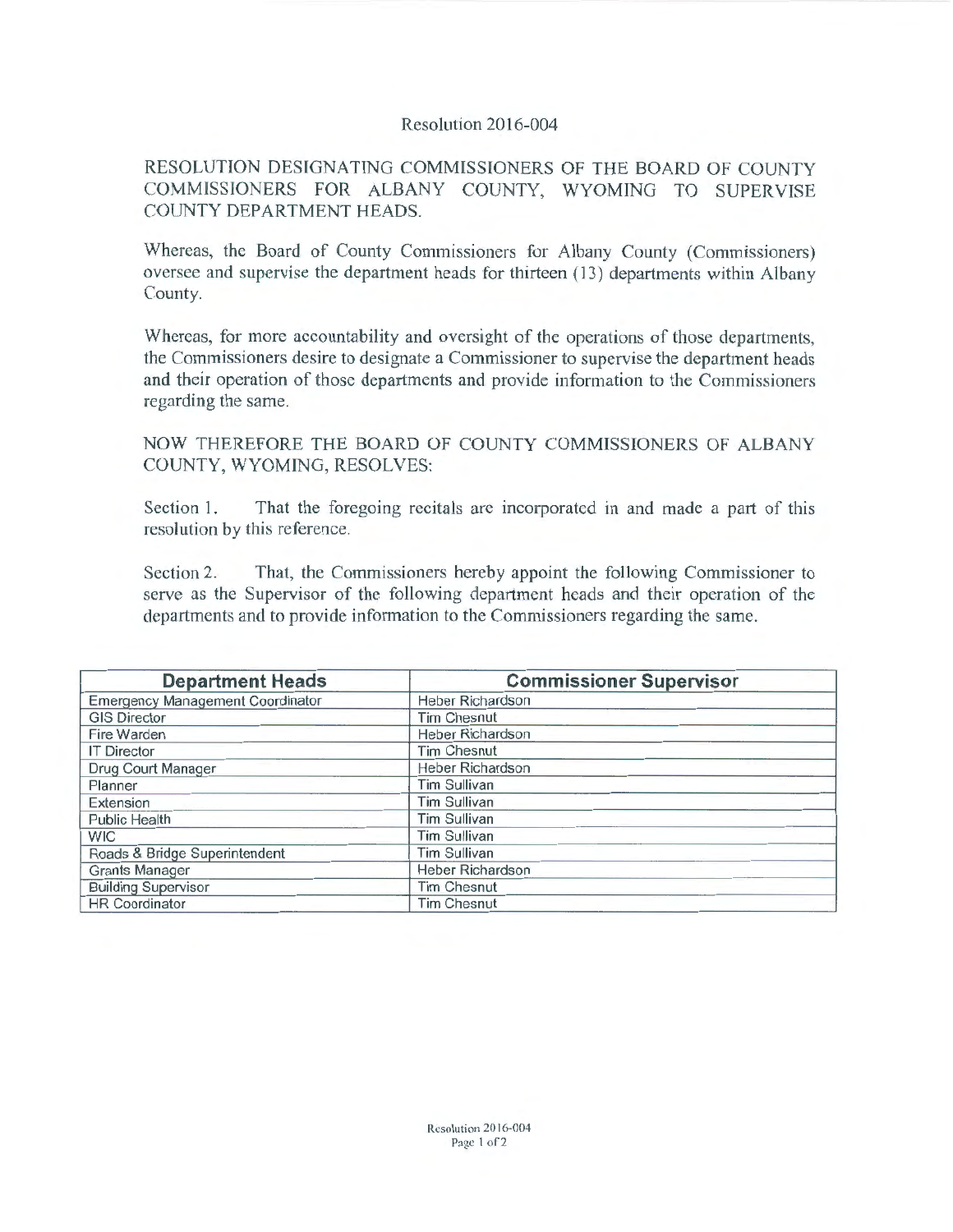## Resolution 2016-004

RESOLUTION DESIGNATING COMMISSIONERS OF THE BOARD OF COUNTY COMMISSIONERS FOR ALBANY COUNTY, WYOMING TO SUPERVISE COUNTY DEPARTMENT HEADS.

Whereas, the Board of County Commissioners for Albany County (Commissioners) oversee and supervise the department heads for thirteen (13) departments within Albany County.

Whereas, for more accountability and oversight of the operations of those departments, the Commissioners desire to designate a Commissioner to supervise the department heads and their operation of those departments and provide information to the Commissioners regarding the same.

NOW THEREFORE THE BOARD OF COUNTY COMMISSIONERS OF ALBANY COUNTY, WYOMING, RESOLVES:

Section 1. That the foregoing recitals are incorporated in and made a part of this resolution by this reference.

Section 2. That, the Commissioners hereby appoint the following Commissioner to serve as the Supervisor of the following department heads and their operation of the departments and to provide information to the Commissioners regarding the same.

| <b>Department Heads</b>                 | <b>Commissioner Supervisor</b> |
|-----------------------------------------|--------------------------------|
| <b>Emergency Management Coordinator</b> | Heber Richardson               |
| <b>GIS Director</b>                     | <b>Tim Chesnut</b>             |
| Fire Warden                             | Heber Richardson               |
| <b>IT Director</b>                      | <b>Tim Chesnut</b>             |
| Drug Court Manager                      | <b>Heber Richardson</b>        |
| Planner                                 | <b>Tim Sullivan</b>            |
| Extension                               | <b>Tim Sullivan</b>            |
| <b>Public Health</b>                    | <b>Tim Sullivan</b>            |
| <b>WIC</b>                              | <b>Tim Sullivan</b>            |
| Roads & Bridge Superintendent           | <b>Tim Sullivan</b>            |
| Grants Manager                          | <b>Heber Richardson</b>        |
| <b>Building Supervisor</b>              | <b>Tim Chesnut</b>             |
| <b>HR Coordinator</b>                   | <b>Tim Chesnut</b>             |